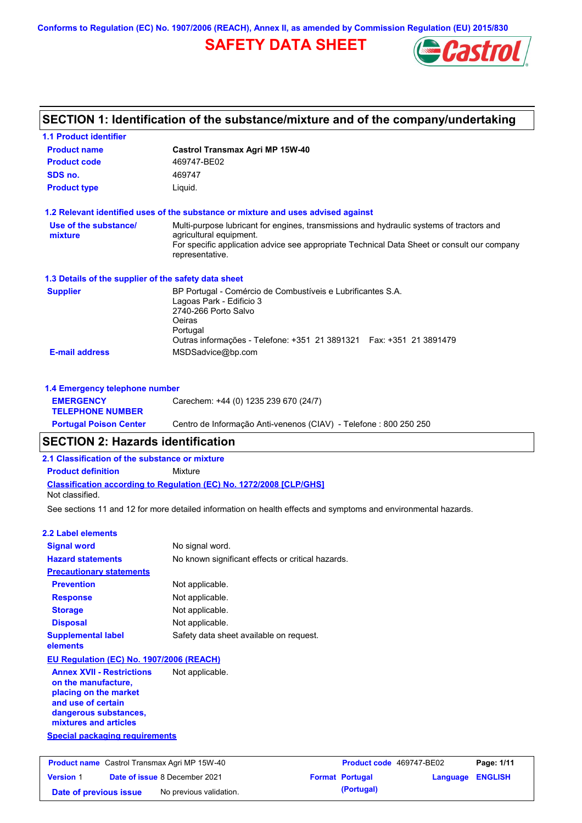**Conforms to Regulation (EC) No. 1907/2006 (REACH), Annex II, as amended by Commission Regulation (EU) 2015/830**



|                                                                                                                                                          | SECTION 1: Identification of the substance/mixture and of the company/undertaking                                                                                                                               |                          |                 |                |
|----------------------------------------------------------------------------------------------------------------------------------------------------------|-----------------------------------------------------------------------------------------------------------------------------------------------------------------------------------------------------------------|--------------------------|-----------------|----------------|
| <b>1.1 Product identifier</b>                                                                                                                            |                                                                                                                                                                                                                 |                          |                 |                |
| <b>Product name</b>                                                                                                                                      | <b>Castrol Transmax Agri MP 15W-40</b>                                                                                                                                                                          |                          |                 |                |
| <b>Product code</b>                                                                                                                                      | 469747-BE02                                                                                                                                                                                                     |                          |                 |                |
| SDS no.                                                                                                                                                  | 469747                                                                                                                                                                                                          |                          |                 |                |
| <b>Product type</b>                                                                                                                                      | Liquid.                                                                                                                                                                                                         |                          |                 |                |
|                                                                                                                                                          | 1.2 Relevant identified uses of the substance or mixture and uses advised against                                                                                                                               |                          |                 |                |
| Use of the substance/                                                                                                                                    | Multi-purpose lubricant for engines, transmissions and hydraulic systems of tractors and                                                                                                                        |                          |                 |                |
| mixture                                                                                                                                                  | agricultural equipment.<br>For specific application advice see appropriate Technical Data Sheet or consult our company<br>representative.                                                                       |                          |                 |                |
| 1.3 Details of the supplier of the safety data sheet                                                                                                     |                                                                                                                                                                                                                 |                          |                 |                |
| <b>Supplier</b>                                                                                                                                          | BP Portugal - Comércio de Combustíveis e Lubrificantes S.A.<br>Lagoas Park - Edificio 3<br>2740-266 Porto Salvo<br>Oeiras<br>Portugal<br>Outras informações - Telefone: +351 21 3891321    Fax: +351 21 3891479 |                          |                 |                |
| <b>E-mail address</b>                                                                                                                                    | MSDSadvice@bp.com                                                                                                                                                                                               |                          |                 |                |
|                                                                                                                                                          |                                                                                                                                                                                                                 |                          |                 |                |
| 1.4 Emergency telephone number<br><b>EMERGENCY</b>                                                                                                       | Carechem: +44 (0) 1235 239 670 (24/7)                                                                                                                                                                           |                          |                 |                |
| <b>TELEPHONE NUMBER</b>                                                                                                                                  |                                                                                                                                                                                                                 |                          |                 |                |
| <b>Portugal Poison Center</b>                                                                                                                            | Centro de Informação Anti-venenos (CIAV) - Telefone : 800 250 250                                                                                                                                               |                          |                 |                |
| <b>SECTION 2: Hazards identification</b>                                                                                                                 |                                                                                                                                                                                                                 |                          |                 |                |
| 2.1 Classification of the substance or mixture                                                                                                           |                                                                                                                                                                                                                 |                          |                 |                |
| <b>Product definition</b>                                                                                                                                | Mixture                                                                                                                                                                                                         |                          |                 |                |
|                                                                                                                                                          | Classification according to Regulation (EC) No. 1272/2008 [CLP/GHS]                                                                                                                                             |                          |                 |                |
| Not classified.                                                                                                                                          |                                                                                                                                                                                                                 |                          |                 |                |
|                                                                                                                                                          | See sections 11 and 12 for more detailed information on health effects and symptoms and environmental hazards.                                                                                                  |                          |                 |                |
| <b>2.2 Label elements</b>                                                                                                                                |                                                                                                                                                                                                                 |                          |                 |                |
| <b>Signal word</b>                                                                                                                                       | No signal word.                                                                                                                                                                                                 |                          |                 |                |
| <b>Hazard statements</b>                                                                                                                                 | No known significant effects or critical hazards.                                                                                                                                                               |                          |                 |                |
| <b>Precautionary statements</b>                                                                                                                          |                                                                                                                                                                                                                 |                          |                 |                |
| <b>Prevention</b>                                                                                                                                        | Not applicable.                                                                                                                                                                                                 |                          |                 |                |
| <b>Response</b>                                                                                                                                          | Not applicable.                                                                                                                                                                                                 |                          |                 |                |
| <b>Storage</b>                                                                                                                                           | Not applicable.                                                                                                                                                                                                 |                          |                 |                |
| <b>Disposal</b>                                                                                                                                          | Not applicable.                                                                                                                                                                                                 |                          |                 |                |
| <b>Supplemental label</b><br>elements                                                                                                                    | Safety data sheet available on request.                                                                                                                                                                         |                          |                 |                |
| EU Regulation (EC) No. 1907/2006 (REACH)                                                                                                                 |                                                                                                                                                                                                                 |                          |                 |                |
| <b>Annex XVII - Restrictions</b><br>on the manufacture,<br>placing on the market<br>and use of certain<br>dangerous substances,<br>mixtures and articles | Not applicable.                                                                                                                                                                                                 |                          |                 |                |
| <b>Special packaging requirements</b>                                                                                                                    |                                                                                                                                                                                                                 |                          |                 |                |
| <b>Product name</b> Castrol Transmax Agri MP 15W-40                                                                                                      |                                                                                                                                                                                                                 | Product code 469747-BE02 |                 | Page: 1/11     |
| <b>Version 1</b>                                                                                                                                         | Date of issue 8 December 2021                                                                                                                                                                                   | <b>Format Portugal</b>   | <b>Language</b> | <b>ENGLISH</b> |
| Date of previous issue                                                                                                                                   | No previous validation.                                                                                                                                                                                         | (Portugal)               |                 |                |
|                                                                                                                                                          |                                                                                                                                                                                                                 |                          |                 |                |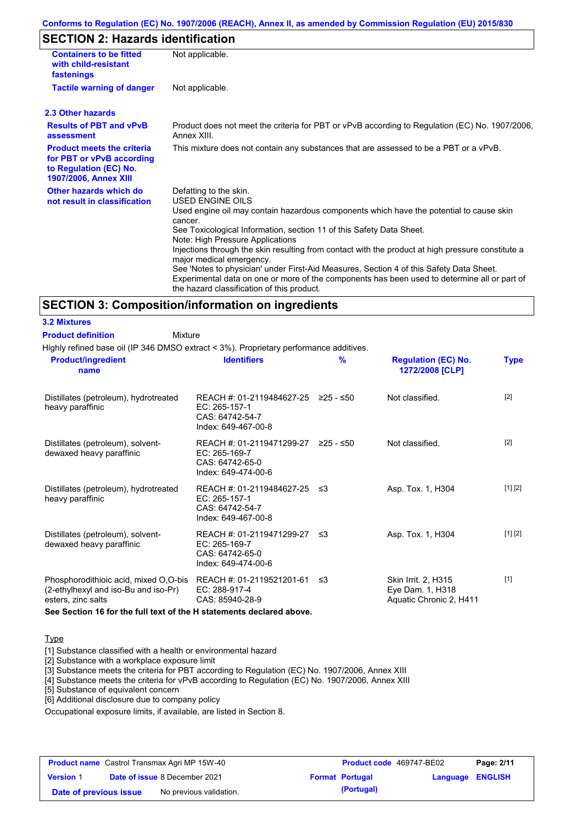#### **Conforms to Regulation (EC) No. 1907/2006 (REACH), Annex II, as amended by Commission Regulation (EU) 2015/830**

# **SECTION 2: Hazards identification**

| <b>Containers to be fitted</b><br>with child-resistant<br>fastenings                                                     | Not applicable.                                                                                                                                                                                                                                                                                                                                                                                                                                                                                                                                                                                                                               |
|--------------------------------------------------------------------------------------------------------------------------|-----------------------------------------------------------------------------------------------------------------------------------------------------------------------------------------------------------------------------------------------------------------------------------------------------------------------------------------------------------------------------------------------------------------------------------------------------------------------------------------------------------------------------------------------------------------------------------------------------------------------------------------------|
| <b>Tactile warning of danger</b>                                                                                         | Not applicable.                                                                                                                                                                                                                                                                                                                                                                                                                                                                                                                                                                                                                               |
| 2.3 Other hazards                                                                                                        |                                                                                                                                                                                                                                                                                                                                                                                                                                                                                                                                                                                                                                               |
| <b>Results of PBT and vPvB</b><br>assessment                                                                             | Product does not meet the criteria for PBT or vPvB according to Regulation (EC) No. 1907/2006,<br>Annex XIII                                                                                                                                                                                                                                                                                                                                                                                                                                                                                                                                  |
| <b>Product meets the criteria</b><br>for PBT or vPvB according<br>to Regulation (EC) No.<br><b>1907/2006, Annex XIII</b> | This mixture does not contain any substances that are assessed to be a PBT or a vPvB.                                                                                                                                                                                                                                                                                                                                                                                                                                                                                                                                                         |
| Other hazards which do<br>not result in classification                                                                   | Defatting to the skin.<br><b>USED ENGINE OILS</b><br>Used engine oil may contain hazardous components which have the potential to cause skin<br>cancer.<br>See Toxicological Information, section 11 of this Safety Data Sheet.<br>Note: High Pressure Applications<br>Injections through the skin resulting from contact with the product at high pressure constitute a<br>major medical emergency.<br>See 'Notes to physician' under First-Aid Measures, Section 4 of this Safety Data Sheet.<br>Experimental data on one or more of the components has been used to determine all or part of<br>the hazard classification of this product. |

#### **SECTION 3: Composition/information on ingredients**

Mixture

Highly refined base oil (IP 346 DMSO extract < 3%). Proprietary performance additives.

| <b>Product/ingredient</b><br>name                                                                   | <b>Identifiers</b>                                                                      | $\frac{9}{6}$ | <b>Regulation (EC) No.</b><br>1272/2008 [CLP]                      | <b>Type</b> |
|-----------------------------------------------------------------------------------------------------|-----------------------------------------------------------------------------------------|---------------|--------------------------------------------------------------------|-------------|
| Distillates (petroleum), hydrotreated<br>heavy paraffinic                                           | REACH #: 01-2119484627-25<br>EC: 265-157-1<br>CAS: 64742-54-7<br>Index: 649-467-00-8    | ≥25 - ≤50     | Not classified.                                                    | $[2]$       |
| Distillates (petroleum), solvent-<br>dewaxed heavy paraffinic                                       | REACH #: 01-2119471299-27<br>EC: 265-169-7<br>CAS: 64742-65-0<br>Index: 649-474-00-6    | ≥25 - ≤50     | Not classified.                                                    | $[2]$       |
| Distillates (petroleum), hydrotreated<br>heavy paraffinic                                           | REACH #: 01-2119484627-25 ≤3<br>EC: 265-157-1<br>CAS: 64742-54-7<br>Index: 649-467-00-8 |               | Asp. Tox. 1, H304                                                  | [1] [2]     |
| Distillates (petroleum), solvent-<br>dewaxed heavy paraffinic                                       | REACH #: 01-2119471299-27 ≤3<br>EC: 265-169-7<br>CAS: 64742-65-0<br>Index: 649-474-00-6 |               | Asp. Tox. 1, H304                                                  | [1] [2]     |
| Phosphorodithioic acid, mixed O,O-bis<br>(2-ethylhexyl and iso-Bu and iso-Pr)<br>esters, zinc salts | REACH #: 01-2119521201-61<br>EC: 288-917-4<br>CAS: 85940-28-9                           | ב≥            | Skin Irrit. 2, H315<br>Eye Dam. 1, H318<br>Aquatic Chronic 2, H411 | $[1]$       |

**See Section 16 for the full text of the H statements declared above.**

#### **Type**

**3.2 Mixtures Product definition**

[1] Substance classified with a health or environmental hazard

[2] Substance with a workplace exposure limit

[3] Substance meets the criteria for PBT according to Regulation (EC) No. 1907/2006, Annex XIII

[4] Substance meets the criteria for vPvB according to Regulation (EC) No. 1907/2006, Annex XIII

[5] Substance of equivalent concern

[6] Additional disclosure due to company policy

Occupational exposure limits, if available, are listed in Section 8.

| <b>Product name</b> Castrol Transmax Agri MP 15W-40 |  | <b>Product code</b> 469747-BE02      |  | Page: 2/11             |                         |  |
|-----------------------------------------------------|--|--------------------------------------|--|------------------------|-------------------------|--|
| <b>Version 1</b>                                    |  | <b>Date of issue 8 December 2021</b> |  | <b>Format Portugal</b> | <b>Language ENGLISH</b> |  |
| Date of previous issue                              |  | No previous validation.              |  | (Portugal)             |                         |  |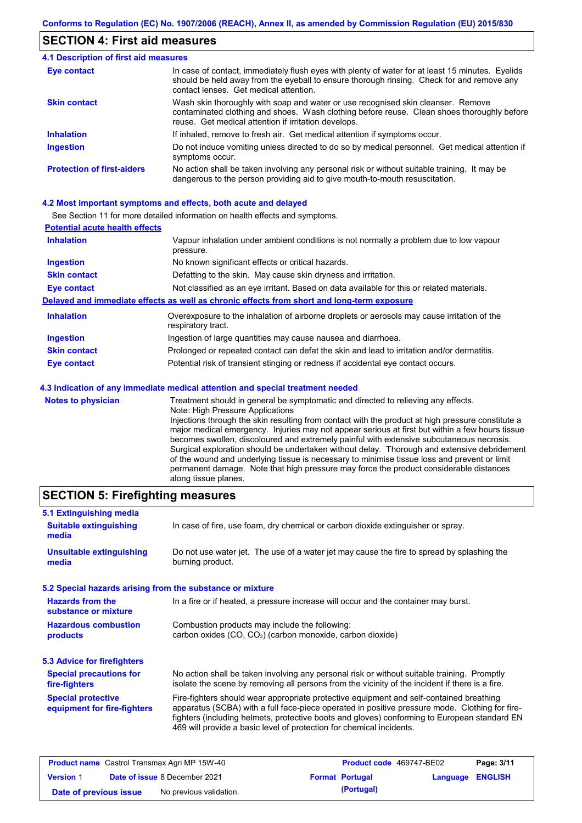### **SECTION 4: First aid measures**

| <b>4.1 Description of first aid measures</b> |                                                                                                                                                                                                                                         |
|----------------------------------------------|-----------------------------------------------------------------------------------------------------------------------------------------------------------------------------------------------------------------------------------------|
| <b>Eye contact</b>                           | In case of contact, immediately flush eyes with plenty of water for at least 15 minutes. Eyelids<br>should be held away from the eyeball to ensure thorough rinsing. Check for and remove any<br>contact lenses. Get medical attention. |
| <b>Skin contact</b>                          | Wash skin thoroughly with soap and water or use recognised skin cleanser. Remove<br>contaminated clothing and shoes. Wash clothing before reuse. Clean shoes thoroughly before<br>reuse. Get medical attention if irritation develops.  |
| <b>Inhalation</b>                            | If inhaled, remove to fresh air. Get medical attention if symptoms occur.                                                                                                                                                               |
| <b>Ingestion</b>                             | Do not induce vomiting unless directed to do so by medical personnel. Get medical attention if<br>symptoms occur.                                                                                                                       |
| <b>Protection of first-aiders</b>            | No action shall be taken involving any personal risk or without suitable training. It may be<br>dangerous to the person providing aid to give mouth-to-mouth resuscitation.                                                             |

#### **4.2 Most important symptoms and effects, both acute and delayed**

See Section 11 for more detailed information on health effects and symptoms.

| <b>Potential acute health effects</b> |                                                                                                                        |
|---------------------------------------|------------------------------------------------------------------------------------------------------------------------|
| <b>Inhalation</b>                     | Vapour inhalation under ambient conditions is not normally a problem due to low vapour<br>pressure.                    |
| <b>Ingestion</b>                      | No known significant effects or critical hazards.                                                                      |
| <b>Skin contact</b>                   | Defatting to the skin. May cause skin dryness and irritation.                                                          |
| Eye contact                           | Not classified as an eye irritant. Based on data available for this or related materials.                              |
|                                       | Delayed and immediate effects as well as chronic effects from short and long-term exposure                             |
| <b>Inhalation</b>                     | Overexposure to the inhalation of airborne droplets or aerosols may cause irritation of the<br>respiratory tract.      |
| <b>Ingestion</b>                      | Ingestion of large quantities may cause nausea and diarrhoea.                                                          |
| <b>Skin contact</b>                   | Prolonged or repeated contact can defat the skin and lead to irritation and/or dermatitis.                             |
| <b>Eye contact</b>                    | Potential risk of transient stinging or redness if accidental eye contact occurs.                                      |
|                                       | 4.3 Indication of any immediate medical attention and special treatment needed                                         |
| <b>Notes to physician</b>             | Treatment should in general be symptomatic and directed to relieving any effects.<br>Nato: High Drogouro, Applications |

Note: High Pressure Applications Injections through the skin resulting from contact with the product at high pressure constitute a major medical emergency. Injuries may not appear serious at first but within a few hours tissue becomes swollen, discoloured and extremely painful with extensive subcutaneous necrosis. Surgical exploration should be undertaken without delay. Thorough and extensive debridement of the wound and underlying tissue is necessary to minimise tissue loss and prevent or limit permanent damage. Note that high pressure may force the product considerable distances along tissue planes.

# **SECTION 5: Firefighting measures**

| 5.1 Extinguishing media                                   |                                                                                                                                                                                                                                                                                                                                                                   |  |  |  |
|-----------------------------------------------------------|-------------------------------------------------------------------------------------------------------------------------------------------------------------------------------------------------------------------------------------------------------------------------------------------------------------------------------------------------------------------|--|--|--|
| <b>Suitable extinguishing</b><br>media                    | In case of fire, use foam, dry chemical or carbon dioxide extinguisher or spray.                                                                                                                                                                                                                                                                                  |  |  |  |
| <b>Unsuitable extinguishing</b><br>media                  | Do not use water jet. The use of a water jet may cause the fire to spread by splashing the<br>burning product.                                                                                                                                                                                                                                                    |  |  |  |
| 5.2 Special hazards arising from the substance or mixture |                                                                                                                                                                                                                                                                                                                                                                   |  |  |  |
| <b>Hazards from the</b><br>substance or mixture           | In a fire or if heated, a pressure increase will occur and the container may burst.                                                                                                                                                                                                                                                                               |  |  |  |
| <b>Hazardous combustion</b><br>products                   | Combustion products may include the following:<br>carbon oxides (CO, CO <sub>2</sub> ) (carbon monoxide, carbon dioxide)                                                                                                                                                                                                                                          |  |  |  |
| 5.3 Advice for firefighters                               |                                                                                                                                                                                                                                                                                                                                                                   |  |  |  |
| <b>Special precautions for</b><br>fire-fighters           | No action shall be taken involving any personal risk or without suitable training. Promptly<br>isolate the scene by removing all persons from the vicinity of the incident if there is a fire.                                                                                                                                                                    |  |  |  |
| <b>Special protective</b><br>equipment for fire-fighters  | Fire-fighters should wear appropriate protective equipment and self-contained breathing<br>apparatus (SCBA) with a full face-piece operated in positive pressure mode. Clothing for fire-<br>fighters (including helmets, protective boots and gloves) conforming to European standard EN<br>469 will provide a basic level of protection for chemical incidents. |  |  |  |

| <b>Product name</b> Castrol Transmax Agri MP 15W-40 |  | <b>Product code</b> 469747-BE02      |  | Page: 3/11             |                  |  |
|-----------------------------------------------------|--|--------------------------------------|--|------------------------|------------------|--|
| <b>Version 1</b>                                    |  | <b>Date of issue 8 December 2021</b> |  | <b>Format Portugal</b> | Language ENGLISH |  |
| Date of previous issue                              |  | No previous validation.              |  | (Portugal)             |                  |  |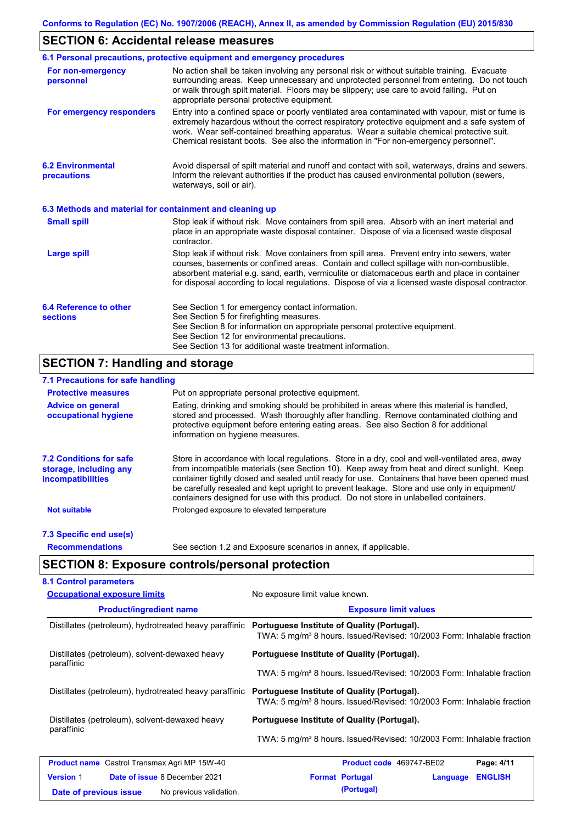# **SECTION 6: Accidental release measures**

|                                                          | 6.1 Personal precautions, protective equipment and emergency procedures                                                                                                                                                                                                                                                                                                                        |
|----------------------------------------------------------|------------------------------------------------------------------------------------------------------------------------------------------------------------------------------------------------------------------------------------------------------------------------------------------------------------------------------------------------------------------------------------------------|
| For non-emergency<br>personnel                           | No action shall be taken involving any personal risk or without suitable training. Evacuate<br>surrounding areas. Keep unnecessary and unprotected personnel from entering. Do not touch<br>or walk through spilt material. Floors may be slippery; use care to avoid falling. Put on<br>appropriate personal protective equipment.                                                            |
| For emergency responders                                 | Entry into a confined space or poorly ventilated area contaminated with vapour, mist or fume is<br>extremely hazardous without the correct respiratory protective equipment and a safe system of<br>work. Wear self-contained breathing apparatus. Wear a suitable chemical protective suit.<br>Chemical resistant boots. See also the information in "For non-emergency personnel".           |
| <b>6.2 Environmental</b><br>precautions                  | Avoid dispersal of spilt material and runoff and contact with soil, waterways, drains and sewers.<br>Inform the relevant authorities if the product has caused environmental pollution (sewers,<br>waterways, soil or air).                                                                                                                                                                    |
| 6.3 Methods and material for containment and cleaning up |                                                                                                                                                                                                                                                                                                                                                                                                |
| <b>Small spill</b>                                       | Stop leak if without risk. Move containers from spill area. Absorb with an inert material and<br>place in an appropriate waste disposal container. Dispose of via a licensed waste disposal<br>contractor.                                                                                                                                                                                     |
| <b>Large spill</b>                                       | Stop leak if without risk. Move containers from spill area. Prevent entry into sewers, water<br>courses, basements or confined areas. Contain and collect spillage with non-combustible,<br>absorbent material e.g. sand, earth, vermiculite or diatomaceous earth and place in container<br>for disposal according to local regulations. Dispose of via a licensed waste disposal contractor. |
| 6.4 Reference to other<br><b>sections</b>                | See Section 1 for emergency contact information.<br>See Section 5 for firefighting measures.<br>See Section 8 for information on appropriate personal protective equipment.<br>See Section 12 for environmental precautions.<br>See Section 13 for additional waste treatment information.                                                                                                     |

# **SECTION 7: Handling and storage**

### **7.1 Precautions for safe handling**

| <b>Protective measures</b>                                                           | Put on appropriate personal protective equipment.                                                                                                                                                                                                                                                                                                                                                                                                                                        |  |  |
|--------------------------------------------------------------------------------------|------------------------------------------------------------------------------------------------------------------------------------------------------------------------------------------------------------------------------------------------------------------------------------------------------------------------------------------------------------------------------------------------------------------------------------------------------------------------------------------|--|--|
| <b>Advice on general</b><br>occupational hygiene                                     | Eating, drinking and smoking should be prohibited in areas where this material is handled,<br>stored and processed. Wash thoroughly after handling. Remove contaminated clothing and<br>protective equipment before entering eating areas. See also Section 8 for additional<br>information on hygiene measures.                                                                                                                                                                         |  |  |
| <b>7.2 Conditions for safe</b><br>storage, including any<br><i>incompatibilities</i> | Store in accordance with local requiations. Store in a dry, cool and well-ventilated area, away<br>from incompatible materials (see Section 10). Keep away from heat and direct sunlight. Keep<br>container tightly closed and sealed until ready for use. Containers that have been opened must<br>be carefully resealed and kept upright to prevent leakage. Store and use only in equipment/<br>containers designed for use with this product. Do not store in unlabelled containers. |  |  |
| <b>Not suitable</b>                                                                  | Prolonged exposure to elevated temperature                                                                                                                                                                                                                                                                                                                                                                                                                                               |  |  |
| 7.3 Specific end use(s)                                                              |                                                                                                                                                                                                                                                                                                                                                                                                                                                                                          |  |  |
| <b>Recommendations</b>                                                               | See section 1.2 and Exposure scenarios in annex, if applicable.                                                                                                                                                                                                                                                                                                                                                                                                                          |  |  |

# **SECTION 8: Exposure controls/personal protection**

| <b>Occupational exposure limits</b>                      | No exposure limit value known.                                                                                                    |  |  |  |
|----------------------------------------------------------|-----------------------------------------------------------------------------------------------------------------------------------|--|--|--|
| <b>Product/ingredient name</b>                           | <b>Exposure limit values</b>                                                                                                      |  |  |  |
| Distillates (petroleum), hydrotreated heavy paraffinic   | Portuguese Institute of Quality (Portugal).<br>TWA: 5 mg/m <sup>3</sup> 8 hours. Issued/Revised: 10/2003 Form: Inhalable fraction |  |  |  |
| Distillates (petroleum), solvent-dewaxed heavy           | Portuguese Institute of Quality (Portugal).                                                                                       |  |  |  |
| paraffinic                                               | TWA: 5 mg/m <sup>3</sup> 8 hours. Issued/Revised: 10/2003 Form: Inhalable fraction                                                |  |  |  |
| Distillates (petroleum), hydrotreated heavy paraffinic   | Portuguese Institute of Quality (Portugal).<br>TWA: 5 mg/m <sup>3</sup> 8 hours. Issued/Revised: 10/2003 Form: Inhalable fraction |  |  |  |
| Distillates (petroleum), solvent-dewaxed heavy           | Portuguese Institute of Quality (Portugal).                                                                                       |  |  |  |
| paraffinic                                               | TWA: 5 mg/m <sup>3</sup> 8 hours. Issued/Revised: 10/2003 Form: Inhalable fraction                                                |  |  |  |
| <b>Product name</b> Castrol Transmax Agri MP 15W-40      | Product code 469747-BE02<br>Page: 4/11                                                                                            |  |  |  |
| <b>Date of issue 8 December 2021</b><br><b>Version 1</b> | <b>Format Portugal</b><br><b>ENGLISH</b><br>Language                                                                              |  |  |  |
| No previous validation.<br>Date of previous issue        | (Portugal)                                                                                                                        |  |  |  |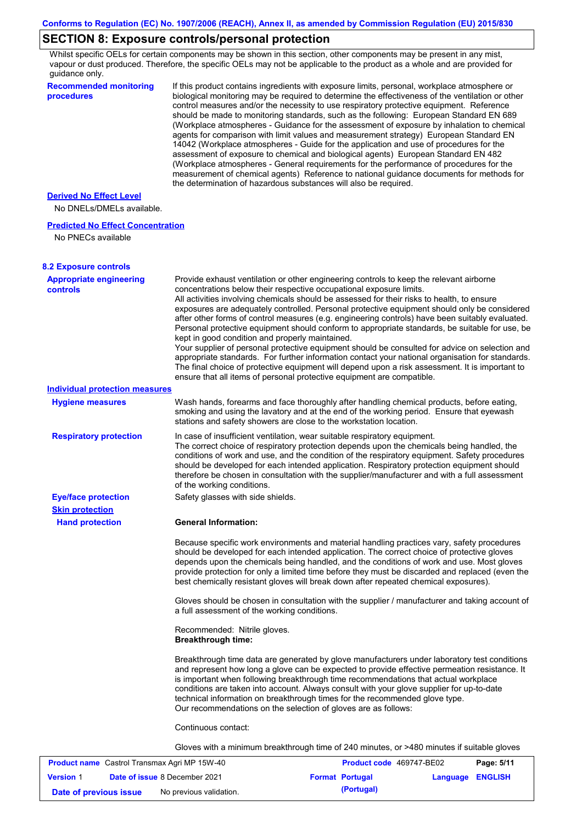# **SECTION 8: Exposure controls/personal protection**

Whilst specific OELs for certain components may be shown in this section, other components may be present in any mist, vapour or dust produced. Therefore, the specific OELs may not be applicable to the product as a whole and are provided for guidance only.

| <b>Recommended monitoring</b><br>procedures          | If this product contains ingredients with exposure limits, personal, workplace atmosphere or<br>biological monitoring may be required to determine the effectiveness of the ventilation or other<br>control measures and/or the necessity to use respiratory protective equipment. Reference<br>should be made to monitoring standards, such as the following: European Standard EN 689<br>(Workplace atmospheres - Guidance for the assessment of exposure by inhalation to chemical<br>agents for comparison with limit values and measurement strategy) European Standard EN<br>14042 (Workplace atmospheres - Guide for the application and use of procedures for the<br>assessment of exposure to chemical and biological agents) European Standard EN 482<br>(Workplace atmospheres - General requirements for the performance of procedures for the<br>measurement of chemical agents) Reference to national guidance documents for methods for<br>the determination of hazardous substances will also be required. |
|------------------------------------------------------|----------------------------------------------------------------------------------------------------------------------------------------------------------------------------------------------------------------------------------------------------------------------------------------------------------------------------------------------------------------------------------------------------------------------------------------------------------------------------------------------------------------------------------------------------------------------------------------------------------------------------------------------------------------------------------------------------------------------------------------------------------------------------------------------------------------------------------------------------------------------------------------------------------------------------------------------------------------------------------------------------------------------------|
| <b>Derived No Effect Level</b>                       |                                                                                                                                                                                                                                                                                                                                                                                                                                                                                                                                                                                                                                                                                                                                                                                                                                                                                                                                                                                                                            |
| No DNELs/DMELs available.                            |                                                                                                                                                                                                                                                                                                                                                                                                                                                                                                                                                                                                                                                                                                                                                                                                                                                                                                                                                                                                                            |
| <b>Predicted No Effect Concentration</b>             |                                                                                                                                                                                                                                                                                                                                                                                                                                                                                                                                                                                                                                                                                                                                                                                                                                                                                                                                                                                                                            |
| No PNECs available                                   |                                                                                                                                                                                                                                                                                                                                                                                                                                                                                                                                                                                                                                                                                                                                                                                                                                                                                                                                                                                                                            |
| <b>8.2 Exposure controls</b>                         |                                                                                                                                                                                                                                                                                                                                                                                                                                                                                                                                                                                                                                                                                                                                                                                                                                                                                                                                                                                                                            |
| <b>Appropriate engineering</b><br><b>controls</b>    | Provide exhaust ventilation or other engineering controls to keep the relevant airborne<br>concentrations below their respective occupational exposure limits.<br>All activities involving chemicals should be assessed for their risks to health, to ensure<br>exposures are adequately controlled. Personal protective equipment should only be considered<br>after other forms of control measures (e.g. engineering controls) have been suitably evaluated.<br>Personal protective equipment should conform to appropriate standards, be suitable for use, be<br>kept in good condition and properly maintained.<br>Your supplier of personal protective equipment should be consulted for advice on selection and<br>appropriate standards. For further information contact your national organisation for standards.<br>The final choice of protective equipment will depend upon a risk assessment. It is important to<br>ensure that all items of personal protective equipment are compatible.                    |
| <b>Individual protection measures</b>                |                                                                                                                                                                                                                                                                                                                                                                                                                                                                                                                                                                                                                                                                                                                                                                                                                                                                                                                                                                                                                            |
| <b>Hygiene measures</b>                              | Wash hands, forearms and face thoroughly after handling chemical products, before eating,<br>smoking and using the lavatory and at the end of the working period. Ensure that eyewash<br>stations and safety showers are close to the workstation location.                                                                                                                                                                                                                                                                                                                                                                                                                                                                                                                                                                                                                                                                                                                                                                |
| <b>Respiratory protection</b>                        | In case of insufficient ventilation, wear suitable respiratory equipment.<br>The correct choice of respiratory protection depends upon the chemicals being handled, the<br>conditions of work and use, and the condition of the respiratory equipment. Safety procedures<br>should be developed for each intended application. Respiratory protection equipment should<br>therefore be chosen in consultation with the supplier/manufacturer and with a full assessment<br>of the working conditions.                                                                                                                                                                                                                                                                                                                                                                                                                                                                                                                      |
| <b>Eye/face protection</b><br><b>Skin protection</b> | Safety glasses with side shields.                                                                                                                                                                                                                                                                                                                                                                                                                                                                                                                                                                                                                                                                                                                                                                                                                                                                                                                                                                                          |
| <b>Hand protection</b>                               | <b>General Information:</b>                                                                                                                                                                                                                                                                                                                                                                                                                                                                                                                                                                                                                                                                                                                                                                                                                                                                                                                                                                                                |
|                                                      | Because specific work environments and material handling practices vary, safety procedures<br>should be developed for each intended application. The correct choice of protective gloves<br>depends upon the chemicals being handled, and the conditions of work and use. Most gloves<br>provide protection for only a limited time before they must be discarded and replaced (even the<br>best chemically resistant gloves will break down after repeated chemical exposures).                                                                                                                                                                                                                                                                                                                                                                                                                                                                                                                                           |
|                                                      | Gloves should be chosen in consultation with the supplier / manufacturer and taking account of<br>a full assessment of the working conditions.                                                                                                                                                                                                                                                                                                                                                                                                                                                                                                                                                                                                                                                                                                                                                                                                                                                                             |
|                                                      | Recommended: Nitrile gloves.<br><b>Breakthrough time:</b>                                                                                                                                                                                                                                                                                                                                                                                                                                                                                                                                                                                                                                                                                                                                                                                                                                                                                                                                                                  |
|                                                      | Breakthrough time data are generated by glove manufacturers under laboratory test conditions<br>and represent how long a glove can be expected to provide effective permeation resistance. It<br>is important when following breakthrough time recommendations that actual workplace<br>conditions are taken into account. Always consult with your glove supplier for up-to-date<br>technical information on breakthrough times for the recommended glove type.<br>Our recommendations on the selection of gloves are as follows:                                                                                                                                                                                                                                                                                                                                                                                                                                                                                         |
|                                                      | Continuous contact:                                                                                                                                                                                                                                                                                                                                                                                                                                                                                                                                                                                                                                                                                                                                                                                                                                                                                                                                                                                                        |
|                                                      | Gloves with a minimum breakthrough time of 240 minutes, or >480 minutes if suitable gloves                                                                                                                                                                                                                                                                                                                                                                                                                                                                                                                                                                                                                                                                                                                                                                                                                                                                                                                                 |
|                                                      |                                                                                                                                                                                                                                                                                                                                                                                                                                                                                                                                                                                                                                                                                                                                                                                                                                                                                                                                                                                                                            |

| <b>Product name</b> Castrol Transmax Agri MP 15W-40 |  |                                      | <b>Product code</b> 469747-BE02 |                        | Page: 5/11       |  |
|-----------------------------------------------------|--|--------------------------------------|---------------------------------|------------------------|------------------|--|
| <b>Version 1</b>                                    |  | <b>Date of issue 8 December 2021</b> |                                 | <b>Format Portugal</b> | Language ENGLISH |  |
| Date of previous issue                              |  | No previous validation.              |                                 | (Portugal)             |                  |  |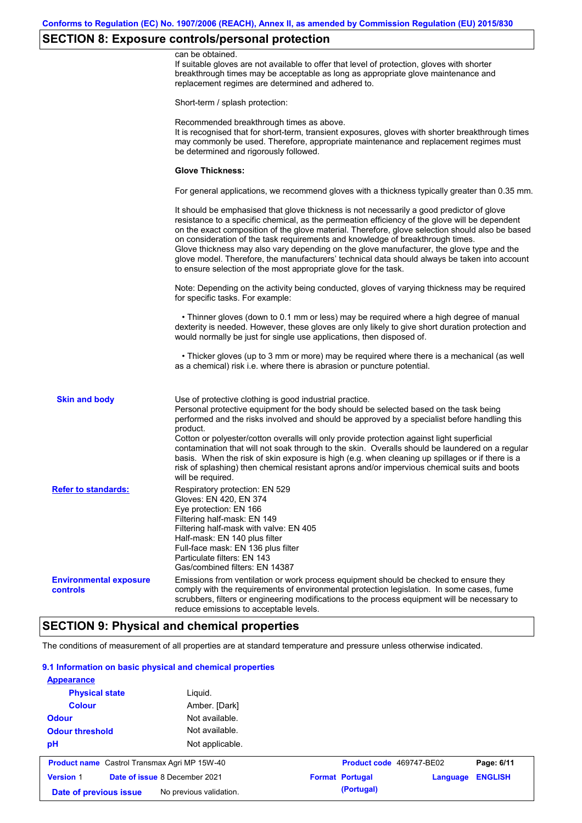# **SECTION 8: Exposure controls/personal protection**

|                                                  | can be obtained.<br>If suitable gloves are not available to offer that level of protection, gloves with shorter<br>breakthrough times may be acceptable as long as appropriate glove maintenance and<br>replacement regimes are determined and adhered to.                                                                                                                                                                                                                                                                                                                                                                                        |
|--------------------------------------------------|---------------------------------------------------------------------------------------------------------------------------------------------------------------------------------------------------------------------------------------------------------------------------------------------------------------------------------------------------------------------------------------------------------------------------------------------------------------------------------------------------------------------------------------------------------------------------------------------------------------------------------------------------|
|                                                  | Short-term / splash protection:                                                                                                                                                                                                                                                                                                                                                                                                                                                                                                                                                                                                                   |
|                                                  | Recommended breakthrough times as above.<br>It is recognised that for short-term, transient exposures, gloves with shorter breakthrough times<br>may commonly be used. Therefore, appropriate maintenance and replacement regimes must<br>be determined and rigorously followed.                                                                                                                                                                                                                                                                                                                                                                  |
|                                                  | <b>Glove Thickness:</b>                                                                                                                                                                                                                                                                                                                                                                                                                                                                                                                                                                                                                           |
|                                                  | For general applications, we recommend gloves with a thickness typically greater than 0.35 mm.                                                                                                                                                                                                                                                                                                                                                                                                                                                                                                                                                    |
|                                                  | It should be emphasised that glove thickness is not necessarily a good predictor of glove<br>resistance to a specific chemical, as the permeation efficiency of the glove will be dependent<br>on the exact composition of the glove material. Therefore, glove selection should also be based<br>on consideration of the task requirements and knowledge of breakthrough times.<br>Glove thickness may also vary depending on the glove manufacturer, the glove type and the<br>glove model. Therefore, the manufacturers' technical data should always be taken into account<br>to ensure selection of the most appropriate glove for the task. |
|                                                  | Note: Depending on the activity being conducted, gloves of varying thickness may be required<br>for specific tasks. For example:                                                                                                                                                                                                                                                                                                                                                                                                                                                                                                                  |
|                                                  | • Thinner gloves (down to 0.1 mm or less) may be required where a high degree of manual<br>dexterity is needed. However, these gloves are only likely to give short duration protection and<br>would normally be just for single use applications, then disposed of.                                                                                                                                                                                                                                                                                                                                                                              |
|                                                  | • Thicker gloves (up to 3 mm or more) may be required where there is a mechanical (as well<br>as a chemical) risk i.e. where there is abrasion or puncture potential.                                                                                                                                                                                                                                                                                                                                                                                                                                                                             |
| <b>Skin and body</b>                             | Use of protective clothing is good industrial practice.<br>Personal protective equipment for the body should be selected based on the task being<br>performed and the risks involved and should be approved by a specialist before handling this<br>product.                                                                                                                                                                                                                                                                                                                                                                                      |
|                                                  | Cotton or polyester/cotton overalls will only provide protection against light superficial<br>contamination that will not soak through to the skin. Overalls should be laundered on a regular<br>basis. When the risk of skin exposure is high (e.g. when cleaning up spillages or if there is a<br>risk of splashing) then chemical resistant aprons and/or impervious chemical suits and boots<br>will be required.                                                                                                                                                                                                                             |
| <b>Refer to standards:</b>                       | Respiratory protection: EN 529<br>Gloves: EN 420, EN 374<br>Eye protection: EN 166<br>Filtering half-mask: EN 149<br>Filtering half-mask with valve: EN 405<br>Half-mask: EN 140 plus filter<br>Full-face mask: EN 136 plus filter<br>Particulate filters: EN 143<br>Gas/combined filters: EN 14387                                                                                                                                                                                                                                                                                                                                               |
| <b>Environmental exposure</b><br><b>controls</b> | Emissions from ventilation or work process equipment should be checked to ensure they<br>comply with the requirements of environmental protection legislation. In some cases, fume<br>scrubbers, filters or engineering modifications to the process equipment will be necessary to<br>reduce emissions to acceptable levels.                                                                                                                                                                                                                                                                                                                     |
|                                                  |                                                                                                                                                                                                                                                                                                                                                                                                                                                                                                                                                                                                                                                   |

# **SECTION 9: Physical and chemical properties**

The conditions of measurement of all properties are at standard temperature and pressure unless otherwise indicated.

### **9.1 Information on basic physical and chemical properties**

| <b>Appearance</b>                                   |                         |                          |          |                |
|-----------------------------------------------------|-------------------------|--------------------------|----------|----------------|
| <b>Physical state</b>                               | Liguid.                 |                          |          |                |
| <b>Colour</b>                                       | Amber. [Dark]           |                          |          |                |
| <b>Odour</b>                                        | Not available.          |                          |          |                |
| <b>Odour threshold</b>                              | Not available.          |                          |          |                |
| pH                                                  | Not applicable.         |                          |          |                |
| <b>Product name</b> Castrol Transmax Agri MP 15W-40 |                         | Product code 469747-BE02 |          | Page: 6/11     |
| Date of issue 8 December 2021<br><b>Version 1</b>   |                         | <b>Format Portugal</b>   | Language | <b>ENGLISH</b> |
| Date of previous issue                              | No previous validation. | (Portugal)               |          |                |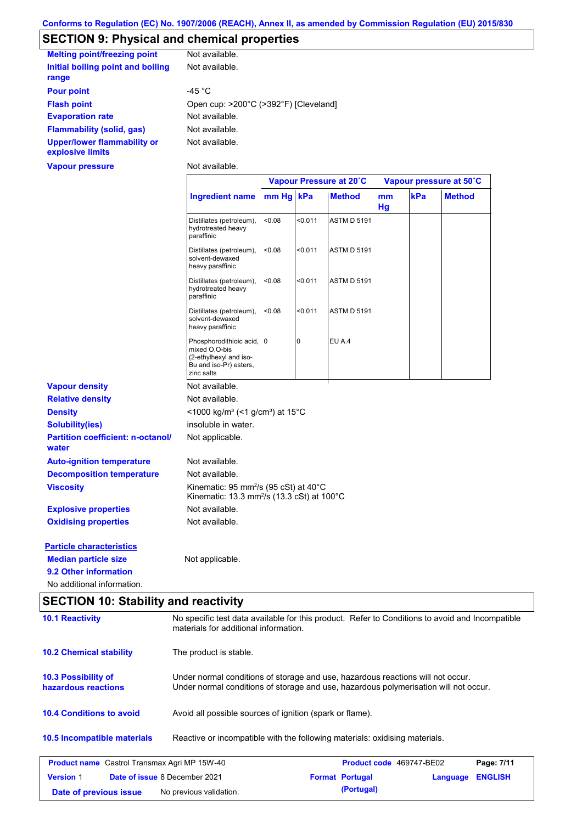# **SECTION 9: Physical and chemical properties**

| <b>Melting point/freezing point</b>                    | Not available.                        |
|--------------------------------------------------------|---------------------------------------|
| Initial boiling point and boiling<br>range             | Not available.                        |
| <b>Pour point</b>                                      | -45 °C                                |
| <b>Flash point</b>                                     | Open cup: >200°C (>392°F) [Cleveland] |
| <b>Evaporation rate</b>                                | Not available.                        |
| Flammability (solid, gas)                              | Not available.                        |
| <b>Upper/lower flammability or</b><br>explosive limits | Not available.                        |
| <b>Vapour pressure</b>                                 | Not available.                        |

|                                                   |                                                                                                              | Vapour Pressure at 20°C |         |                    | Vapour pressure at 50°C |     |               |
|---------------------------------------------------|--------------------------------------------------------------------------------------------------------------|-------------------------|---------|--------------------|-------------------------|-----|---------------|
|                                                   | <b>Ingredient name</b>                                                                                       | mm Hg kPa               |         | <b>Method</b>      | mm<br>Hg                | kPa | <b>Method</b> |
|                                                   | Distillates (petroleum),<br>hydrotreated heavy<br>paraffinic                                                 | <0.08                   | < 0.011 | <b>ASTM D 5191</b> |                         |     |               |
|                                                   | Distillates (petroleum),<br>solvent-dewaxed<br>heavy paraffinic                                              | < 0.08                  | < 0.011 | <b>ASTM D 5191</b> |                         |     |               |
|                                                   | Distillates (petroleum),<br>hydrotreated heavy<br>paraffinic                                                 | < 0.08                  | < 0.011 | <b>ASTM D 5191</b> |                         |     |               |
|                                                   | Distillates (petroleum),<br>solvent-dewaxed<br>heavy paraffinic                                              | < 0.08                  | < 0.011 | <b>ASTM D 5191</b> |                         |     |               |
|                                                   | Phosphorodithioic acid, 0<br>mixed O,O-bis<br>(2-ethylhexyl and iso-<br>Bu and iso-Pr) esters,<br>zinc salts |                         | 0       | EU A.4             |                         |     |               |
| <b>Vapour density</b>                             | Not available.                                                                                               |                         |         |                    |                         |     |               |
| <b>Relative density</b>                           | Not available.                                                                                               |                         |         |                    |                         |     |               |
| <b>Density</b>                                    | <1000 kg/m <sup>3</sup> (<1 g/cm <sup>3</sup> ) at 15°C                                                      |                         |         |                    |                         |     |               |
| <b>Solubility(ies)</b>                            | insoluble in water.                                                                                          |                         |         |                    |                         |     |               |
| <b>Partition coefficient: n-octanol/</b><br>water | Not applicable.                                                                                              |                         |         |                    |                         |     |               |
| <b>Auto-ignition temperature</b>                  | Not available.                                                                                               |                         |         |                    |                         |     |               |
| <b>Decomposition temperature</b>                  | Not available.                                                                                               |                         |         |                    |                         |     |               |
| <b>Viscosity</b>                                  | Kinematic: 95 mm <sup>2</sup> /s (95 cSt) at 40°C<br>Kinematic: 13.3 mm <sup>2</sup> /s (13.3 cSt) at 100°C  |                         |         |                    |                         |     |               |
| <b>Explosive properties</b>                       | Not available.                                                                                               |                         |         |                    |                         |     |               |
| <b>Oxidising properties</b>                       | Not available.                                                                                               |                         |         |                    |                         |     |               |
| <b>Particle characteristics</b>                   |                                                                                                              |                         |         |                    |                         |     |               |
| <b>Median particle size</b>                       | Not applicable.                                                                                              |                         |         |                    |                         |     |               |
| 9.2 Other information                             |                                                                                                              |                         |         |                    |                         |     |               |
| No additional information.                        |                                                                                                              |                         |         |                    |                         |     |               |

# **SECTION 10: Stability and reactivity**

| <b>10.1 Reactivity</b>                              | No specific test data available for this product. Refer to Conditions to avoid and Incompatible<br>materials for additional information.                                |                          |          |                |  |
|-----------------------------------------------------|-------------------------------------------------------------------------------------------------------------------------------------------------------------------------|--------------------------|----------|----------------|--|
| <b>10.2 Chemical stability</b>                      | The product is stable.                                                                                                                                                  |                          |          |                |  |
| 10.3 Possibility of<br>hazardous reactions          | Under normal conditions of storage and use, hazardous reactions will not occur.<br>Under normal conditions of storage and use, hazardous polymerisation will not occur. |                          |          |                |  |
| <b>10.4 Conditions to avoid</b>                     | Avoid all possible sources of ignition (spark or flame).                                                                                                                |                          |          |                |  |
| 10.5 Incompatible materials                         | Reactive or incompatible with the following materials: oxidising materials.                                                                                             |                          |          |                |  |
| <b>Product name</b> Castrol Transmax Agri MP 15W-40 |                                                                                                                                                                         | Product code 469747-BE02 |          | Page: 7/11     |  |
| Date of issue 8 December 2021<br><b>Version 1</b>   |                                                                                                                                                                         | <b>Format Portugal</b>   | Language | <b>ENGLISH</b> |  |
| Date of previous issue                              | No previous validation.                                                                                                                                                 | (Portugal)               |          |                |  |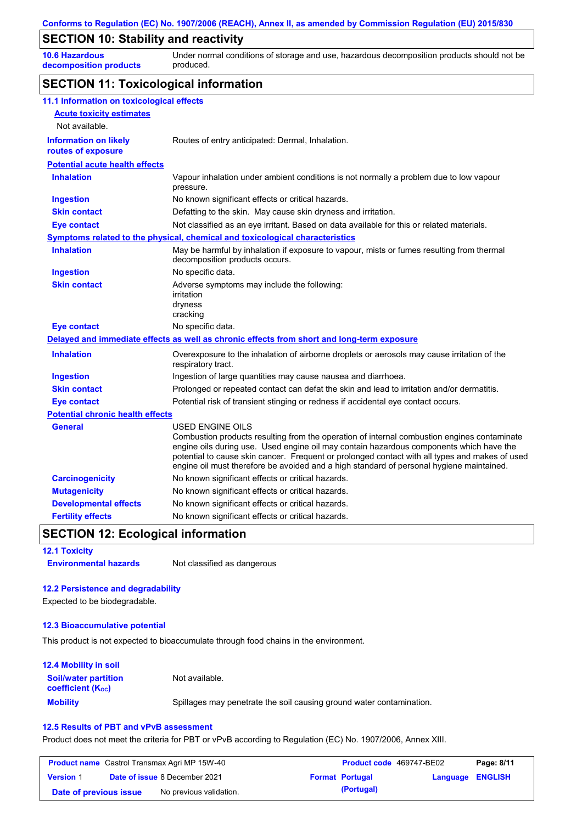### **SECTION 10: Stability and reactivity**

**10.6 Hazardous decomposition products** Under normal conditions of storage and use, hazardous decomposition products should not be produced.

### **SECTION 11: Toxicological information**

| 11.1 Information on toxicological effects          |                                                                                                                                                                                                                                                                                                                                                                                                                 |
|----------------------------------------------------|-----------------------------------------------------------------------------------------------------------------------------------------------------------------------------------------------------------------------------------------------------------------------------------------------------------------------------------------------------------------------------------------------------------------|
| <b>Acute toxicity estimates</b>                    |                                                                                                                                                                                                                                                                                                                                                                                                                 |
| Not available.                                     |                                                                                                                                                                                                                                                                                                                                                                                                                 |
| <b>Information on likely</b><br>routes of exposure | Routes of entry anticipated: Dermal, Inhalation.                                                                                                                                                                                                                                                                                                                                                                |
| <b>Potential acute health effects</b>              |                                                                                                                                                                                                                                                                                                                                                                                                                 |
| <b>Inhalation</b>                                  | Vapour inhalation under ambient conditions is not normally a problem due to low vapour<br>pressure.                                                                                                                                                                                                                                                                                                             |
| <b>Ingestion</b>                                   | No known significant effects or critical hazards.                                                                                                                                                                                                                                                                                                                                                               |
| <b>Skin contact</b>                                | Defatting to the skin. May cause skin dryness and irritation.                                                                                                                                                                                                                                                                                                                                                   |
| <b>Eye contact</b>                                 | Not classified as an eye irritant. Based on data available for this or related materials.                                                                                                                                                                                                                                                                                                                       |
|                                                    | <b>Symptoms related to the physical, chemical and toxicological characteristics</b>                                                                                                                                                                                                                                                                                                                             |
| <b>Inhalation</b>                                  | May be harmful by inhalation if exposure to vapour, mists or fumes resulting from thermal<br>decomposition products occurs.                                                                                                                                                                                                                                                                                     |
| <b>Ingestion</b>                                   | No specific data.                                                                                                                                                                                                                                                                                                                                                                                               |
| <b>Skin contact</b>                                | Adverse symptoms may include the following:<br>irritation<br>dryness<br>cracking                                                                                                                                                                                                                                                                                                                                |
| <b>Eye contact</b>                                 | No specific data.                                                                                                                                                                                                                                                                                                                                                                                               |
|                                                    | Delayed and immediate effects as well as chronic effects from short and long-term exposure                                                                                                                                                                                                                                                                                                                      |
| <b>Inhalation</b>                                  | Overexposure to the inhalation of airborne droplets or aerosols may cause irritation of the<br>respiratory tract.                                                                                                                                                                                                                                                                                               |
| <b>Ingestion</b>                                   | Ingestion of large quantities may cause nausea and diarrhoea.                                                                                                                                                                                                                                                                                                                                                   |
| <b>Skin contact</b>                                | Prolonged or repeated contact can defat the skin and lead to irritation and/or dermatitis.                                                                                                                                                                                                                                                                                                                      |
| <b>Eye contact</b>                                 | Potential risk of transient stinging or redness if accidental eye contact occurs.                                                                                                                                                                                                                                                                                                                               |
| <b>Potential chronic health effects</b>            |                                                                                                                                                                                                                                                                                                                                                                                                                 |
| <b>General</b>                                     | <b>USED ENGINE OILS</b><br>Combustion products resulting from the operation of internal combustion engines contaminate<br>engine oils during use. Used engine oil may contain hazardous components which have the<br>potential to cause skin cancer. Frequent or prolonged contact with all types and makes of used<br>engine oil must therefore be avoided and a high standard of personal hygiene maintained. |
| <b>Carcinogenicity</b>                             | No known significant effects or critical hazards.                                                                                                                                                                                                                                                                                                                                                               |
| <b>Mutagenicity</b>                                | No known significant effects or critical hazards.                                                                                                                                                                                                                                                                                                                                                               |
| <b>Developmental effects</b>                       | No known significant effects or critical hazards.                                                                                                                                                                                                                                                                                                                                                               |
| <b>Fertility effects</b>                           | No known significant effects or critical hazards.                                                                                                                                                                                                                                                                                                                                                               |

### **SECTION 12: Ecological information**

**12.1 Toxicity Environmental hazards** Not classified as dangerous

#### **12.2 Persistence and degradability**

Expected to be biodegradable.

#### **12.3 Bioaccumulative potential**

This product is not expected to bioaccumulate through food chains in the environment.

#### **Mobility** Spillages may penetrate the soil causing ground water contamination. **12.4 Mobility in soil Soil/water partition coefficient (KOC)** Not available.

#### **12.5 Results of PBT and vPvB assessment**

Product does not meet the criteria for PBT or vPvB according to Regulation (EC) No. 1907/2006, Annex XIII.

| <b>Product name</b> Castrol Transmax Agri MP 15W-40 |  |                                      | <b>Product code</b> 469747-BE02 | Page: 8/11             |                         |  |
|-----------------------------------------------------|--|--------------------------------------|---------------------------------|------------------------|-------------------------|--|
| <b>Version 1</b>                                    |  | <b>Date of issue 8 December 2021</b> |                                 | <b>Format Portugal</b> | <b>Language ENGLISH</b> |  |
| Date of previous issue                              |  | No previous validation.              |                                 | (Portugal)             |                         |  |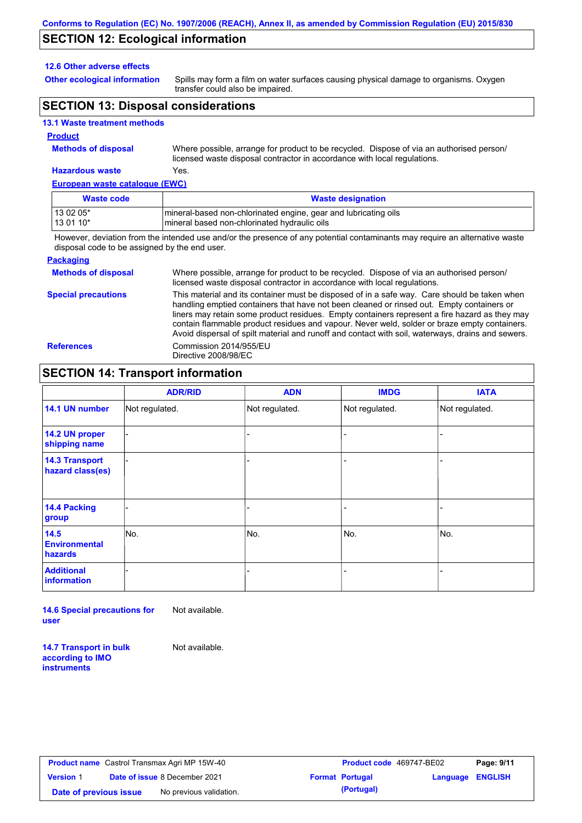### **SECTION 12: Ecological information**

#### **12.6 Other adverse effects**

**Other ecological information**

Spills may form a film on water surfaces causing physical damage to organisms. Oxygen transfer could also be impaired.

# **SECTION 13: Disposal considerations**

#### **13.1 Waste treatment methods**

#### **Product**

**Methods of disposal**

Where possible, arrange for product to be recycled. Dispose of via an authorised person/ licensed waste disposal contractor in accordance with local regulations.

# **Hazardous waste** Yes.

| European waste catalogue (EWC) |                                                                 |  |  |  |  |
|--------------------------------|-----------------------------------------------------------------|--|--|--|--|
| <b>Waste code</b>              | <b>Waste designation</b>                                        |  |  |  |  |
| 13 02 05*                      | mineral-based non-chlorinated engine, gear and lubricating oils |  |  |  |  |
| $130110*$                      | Imineral based non-chlorinated hydraulic oils                   |  |  |  |  |
| .                              |                                                                 |  |  |  |  |

However, deviation from the intended use and/or the presence of any potential contaminants may require an alternative waste disposal code to be assigned by the end user.

#### **Packaging**

| <b>Methods of disposal</b> | Where possible, arrange for product to be recycled. Dispose of via an authorised person/<br>licensed waste disposal contractor in accordance with local regulations.                                                                                                                                                                                                                                                                                                                            |
|----------------------------|-------------------------------------------------------------------------------------------------------------------------------------------------------------------------------------------------------------------------------------------------------------------------------------------------------------------------------------------------------------------------------------------------------------------------------------------------------------------------------------------------|
| <b>Special precautions</b> | This material and its container must be disposed of in a safe way. Care should be taken when<br>handling emptied containers that have not been cleaned or rinsed out. Empty containers or<br>liners may retain some product residues. Empty containers represent a fire hazard as they may<br>contain flammable product residues and vapour. Never weld, solder or braze empty containers.<br>Avoid dispersal of spilt material and runoff and contact with soil, waterways, drains and sewers. |
| <b>References</b>          | Commission 2014/955/EU<br>Directive 2008/98/EC                                                                                                                                                                                                                                                                                                                                                                                                                                                  |

# **SECTION 14: Transport information**

|                                           | <b>ADR/RID</b> | <b>ADN</b>     | <b>IMDG</b>              | <b>IATA</b>    |
|-------------------------------------------|----------------|----------------|--------------------------|----------------|
| 14.1 UN number                            | Not regulated. | Not regulated. | Not regulated.           | Not regulated. |
| 14.2 UN proper<br>shipping name           |                |                |                          |                |
| <b>14.3 Transport</b><br>hazard class(es) |                |                | $\overline{\phantom{0}}$ |                |
| 14.4 Packing<br>group                     |                |                | $\blacksquare$           |                |
| $14.5$<br><b>Environmental</b><br>hazards | No.            | No.            | No.                      | No.            |
| <b>Additional</b><br><b>information</b>   |                |                | -                        |                |

**14.6 Special precautions for user** Not available.

**14.7 Transport in bulk according to IMO instruments**

Not available.

**Version** 1 **Date of previous issue** No previous validation. **All in the Contrary (Portugal)**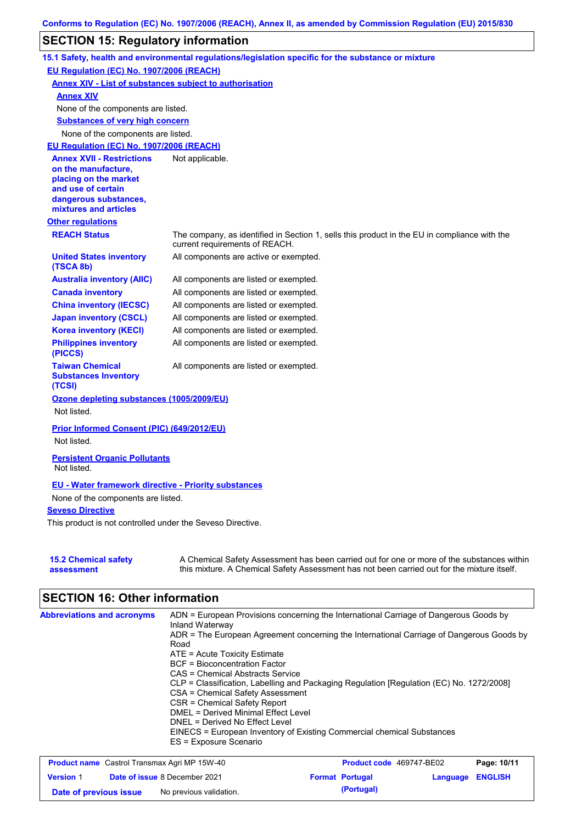# **SECTION 15: Regulatory information**

|                                                                                                                                                          | 15.1 Safety, health and environmental regulations/legislation specific for the substance or mixture                                                                                       |  |  |  |  |  |  |
|----------------------------------------------------------------------------------------------------------------------------------------------------------|-------------------------------------------------------------------------------------------------------------------------------------------------------------------------------------------|--|--|--|--|--|--|
| EU Regulation (EC) No. 1907/2006 (REACH)                                                                                                                 |                                                                                                                                                                                           |  |  |  |  |  |  |
| <b>Annex XIV - List of substances subject to authorisation</b>                                                                                           |                                                                                                                                                                                           |  |  |  |  |  |  |
| <b>Annex XIV</b>                                                                                                                                         |                                                                                                                                                                                           |  |  |  |  |  |  |
| None of the components are listed.                                                                                                                       |                                                                                                                                                                                           |  |  |  |  |  |  |
|                                                                                                                                                          | <b>Substances of very high concern</b>                                                                                                                                                    |  |  |  |  |  |  |
| None of the components are listed.                                                                                                                       |                                                                                                                                                                                           |  |  |  |  |  |  |
| EU Regulation (EC) No. 1907/2006 (REACH)                                                                                                                 |                                                                                                                                                                                           |  |  |  |  |  |  |
| <b>Annex XVII - Restrictions</b><br>on the manufacture,<br>placing on the market<br>and use of certain<br>dangerous substances,<br>mixtures and articles | Not applicable.                                                                                                                                                                           |  |  |  |  |  |  |
| <b>Other regulations</b>                                                                                                                                 |                                                                                                                                                                                           |  |  |  |  |  |  |
| <b>REACH Status</b>                                                                                                                                      | The company, as identified in Section 1, sells this product in the EU in compliance with the<br>current requirements of REACH.                                                            |  |  |  |  |  |  |
| <b>United States inventory</b><br>(TSCA 8b)                                                                                                              | All components are active or exempted.                                                                                                                                                    |  |  |  |  |  |  |
| <b>Australia inventory (AIIC)</b>                                                                                                                        | All components are listed or exempted.                                                                                                                                                    |  |  |  |  |  |  |
| <b>Canada inventory</b>                                                                                                                                  | All components are listed or exempted.                                                                                                                                                    |  |  |  |  |  |  |
| <b>China inventory (IECSC)</b>                                                                                                                           | All components are listed or exempted.                                                                                                                                                    |  |  |  |  |  |  |
| <b>Japan inventory (CSCL)</b>                                                                                                                            | All components are listed or exempted.                                                                                                                                                    |  |  |  |  |  |  |
| <b>Korea inventory (KECI)</b>                                                                                                                            | All components are listed or exempted.                                                                                                                                                    |  |  |  |  |  |  |
| <b>Philippines inventory</b><br>(PICCS)                                                                                                                  | All components are listed or exempted.                                                                                                                                                    |  |  |  |  |  |  |
| <b>Taiwan Chemical</b><br><b>Substances Inventory</b><br>(TCSI)                                                                                          | All components are listed or exempted.                                                                                                                                                    |  |  |  |  |  |  |
| Ozone depleting substances (1005/2009/EU)                                                                                                                |                                                                                                                                                                                           |  |  |  |  |  |  |
| Not listed.                                                                                                                                              |                                                                                                                                                                                           |  |  |  |  |  |  |
| Prior Informed Consent (PIC) (649/2012/EU)<br>Not listed.                                                                                                |                                                                                                                                                                                           |  |  |  |  |  |  |
| <b>Persistent Organic Pollutants</b><br>Not listed.                                                                                                      |                                                                                                                                                                                           |  |  |  |  |  |  |
| <b>EU - Water framework directive - Priority substances</b>                                                                                              |                                                                                                                                                                                           |  |  |  |  |  |  |
| None of the components are listed.                                                                                                                       |                                                                                                                                                                                           |  |  |  |  |  |  |
| <b>Seveso Directive</b>                                                                                                                                  |                                                                                                                                                                                           |  |  |  |  |  |  |
| This product is not controlled under the Seveso Directive.                                                                                               |                                                                                                                                                                                           |  |  |  |  |  |  |
|                                                                                                                                                          |                                                                                                                                                                                           |  |  |  |  |  |  |
| <b>15.2 Chemical safety</b><br>assessment                                                                                                                | A Chemical Safety Assessment has been carried out for one or more of the substances within<br>this mixture. A Chemical Safety Assessment has not been carried out for the mixture itself. |  |  |  |  |  |  |

# **SECTION 16: Other information**

| <b>Abbreviations and acronyms</b> | ADN = European Provisions concerning the International Carriage of Dangerous Goods by<br>Inland Waterway |
|-----------------------------------|----------------------------------------------------------------------------------------------------------|
|                                   | ADR = The European Agreement concerning the International Carriage of Dangerous Goods by                 |
|                                   | Road<br>$ATE = Acute Toxicity Estimate$                                                                  |
|                                   | <b>BCF</b> = Bioconcentration Factor                                                                     |
|                                   | CAS = Chemical Abstracts Service                                                                         |
|                                   | CLP = Classification, Labelling and Packaging Regulation [Regulation (EC) No. 1272/2008]                 |
|                                   | CSA = Chemical Safety Assessment                                                                         |
|                                   | CSR = Chemical Safety Report                                                                             |
|                                   | DMEL = Derived Minimal Effect Level                                                                      |
|                                   | DNEL = Derived No Effect Level                                                                           |
|                                   | EINECS = European Inventory of Existing Commercial chemical Substances                                   |
|                                   | ES = Exposure Scenario                                                                                   |

| <b>Product name</b> Castrol Transmax Agri MP 15W-40 |  |                                      | <b>Product code</b> 469747-BE02 |                        | Page: 10/11      |  |
|-----------------------------------------------------|--|--------------------------------------|---------------------------------|------------------------|------------------|--|
| <b>Version 1</b>                                    |  | <b>Date of issue 8 December 2021</b> |                                 | <b>Format Portugal</b> | Language ENGLISH |  |
| Date of previous issue                              |  | No previous validation.              |                                 | (Portugal)             |                  |  |